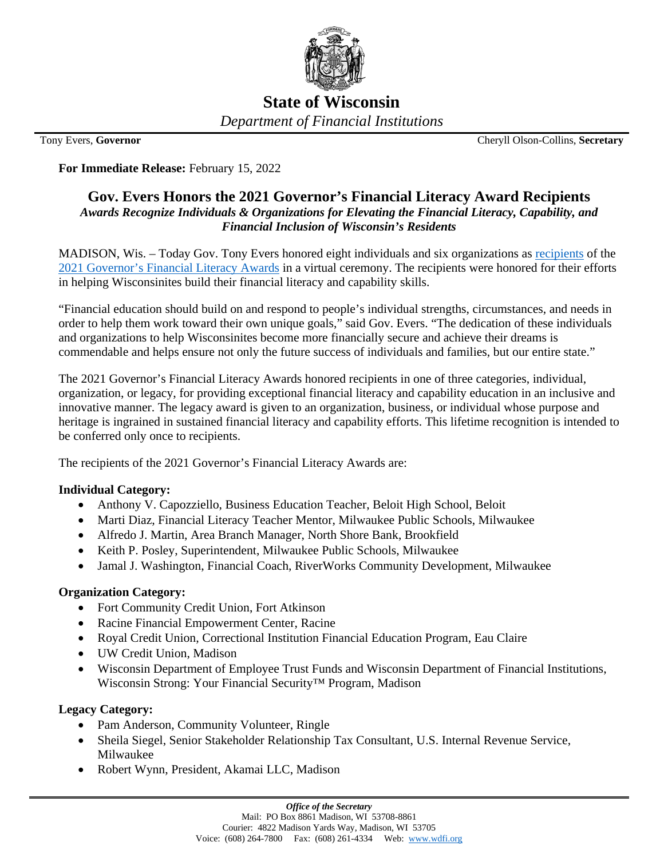

# **State of Wisconsin** *Department of Financial Institutions*

Tony Evers, **Governor** Cheryll Olson-Collins, **Secretary**

**For Immediate Release:** February 15, 2022

## **Gov. Evers Honors the 2021 Governor's Financial Literacy Award Recipients** *Awards Recognize Individuals & Organizations for Elevating the Financial Literacy, Capability, and Financial Inclusion of Wisconsin's Residents*

MADISON, Wis. – Today Gov. Tony Evers honored eight individuals and six organizations as [recipients](https://www.wdfi.org/OFL/govcouncilfinlit/20220215_2021_GovFinLitAwardCeremony_RecipientSynopsis_vFINAL.pdf) of the [2021 Governor's Financial Literacy Awards](https://www.wdfi.org/newsroom/press/2021/20211028_NewsRelease_2021GovFinLitAwardNominations_vFINAL.pdf) in a virtual ceremony. The recipients were honored for their efforts in helping Wisconsinites build their financial literacy and capability skills.

"Financial education should build on and respond to people's individual strengths, circumstances, and needs in order to help them work toward their own unique goals," said Gov. Evers. "The dedication of these individuals and organizations to help Wisconsinites become more financially secure and achieve their dreams is commendable and helps ensure not only the future success of individuals and families, but our entire state."

The 2021 Governor's Financial Literacy Awards honored recipients in one of three categories, individual, organization, or legacy, for providing exceptional financial literacy and capability education in an inclusive and innovative manner. The legacy award is given to an organization, business, or individual whose purpose and heritage is ingrained in sustained financial literacy and capability efforts. This lifetime recognition is intended to be conferred only once to recipients.

The recipients of the 2021 Governor's Financial Literacy Awards are:

### **Individual Category:**

- Anthony V. Capozziello, Business Education Teacher, Beloit High School, Beloit
- Marti Diaz, Financial Literacy Teacher Mentor, Milwaukee Public Schools, Milwaukee
- Alfredo J. Martin, Area Branch Manager, North Shore Bank, Brookfield
- Keith P. Posley, Superintendent, Milwaukee Public Schools, Milwaukee
- Jamal J. Washington, Financial Coach, RiverWorks Community Development, Milwaukee

### **Organization Category:**

- Fort Community Credit Union, Fort Atkinson
- Racine Financial Empowerment Center, Racine
- Royal Credit Union, Correctional Institution Financial Education Program, Eau Claire
- UW Credit Union, Madison
- Wisconsin Department of Employee Trust Funds and Wisconsin Department of Financial Institutions, Wisconsin Strong: Your Financial Security™ Program, Madison

### **Legacy Category:**

- Pam Anderson, Community Volunteer, Ringle
- Sheila Siegel, Senior Stakeholder Relationship Tax Consultant, U.S. Internal Revenue Service, Milwaukee
- Robert Wynn, President, Akamai LLC, Madison